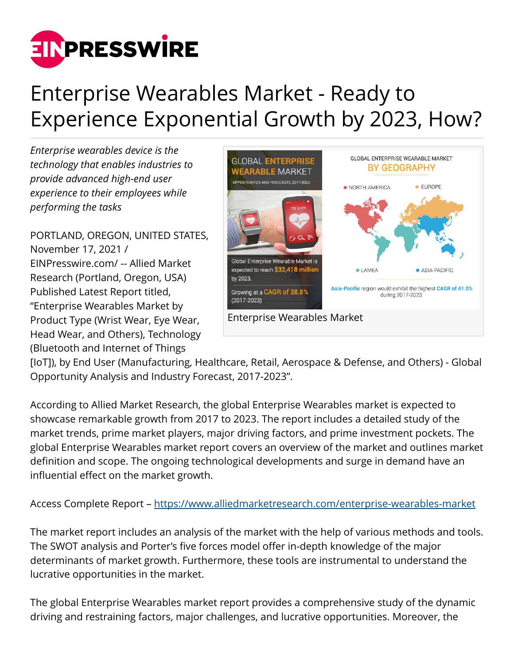

## Enterprise Wearables Market - Ready to Experience Exponential Growth by 2023, How?

*Enterprise wearables device is the technology that enables industries to provide advanced high-end user experience to their employees while performing the tasks*

PORTLAND, OREGON, UNITED STATES, November 17, 2021 / [EINPresswire.com](http://www.einpresswire.com)/ -- Allied Market Research (Portland, Oregon, USA) Published Latest Report titled, "Enterprise Wearables Market by Product Type (Wrist Wear, Eye Wear, Head Wear, and Others), Technology (Bluetooth and Internet of Things



[IoT]), by End User (Manufacturing, Healthcare, Retail, Aerospace & Defense, and Others) - Global Opportunity Analysis and Industry Forecast, 2017-2023".

According to Allied Market Research, the global Enterprise Wearables market is expected to showcase remarkable growth from 2017 to 2023. The report includes a detailed study of the market trends, prime market players, major driving factors, and prime investment pockets. The global Enterprise Wearables market report covers an overview of the market and outlines market definition and scope. The ongoing technological developments and surge in demand have an influential effect on the market growth.

Access Complete Report – <https://www.alliedmarketresearch.com/enterprise-wearables-market>

The market report includes an analysis of the market with the help of various methods and tools. The SWOT analysis and Porter's five forces model offer in-depth knowledge of the major determinants of market growth. Furthermore, these tools are instrumental to understand the lucrative opportunities in the market.

The global Enterprise Wearables market report provides a comprehensive study of the dynamic driving and restraining factors, major challenges, and lucrative opportunities. Moreover, the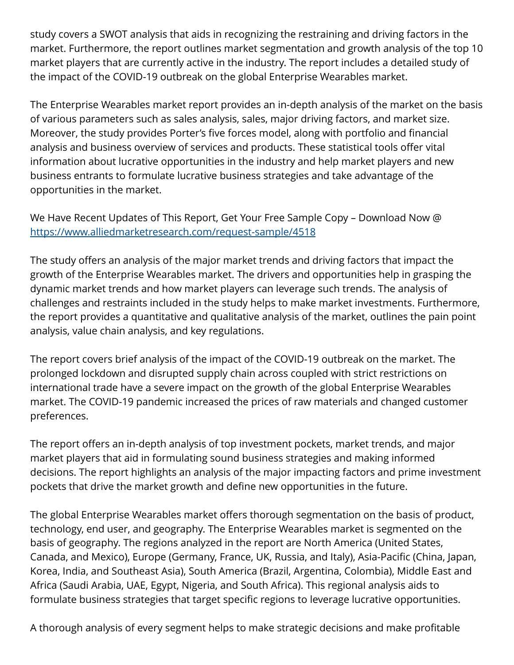study covers a SWOT analysis that aids in recognizing the restraining and driving factors in the market. Furthermore, the report outlines market segmentation and growth analysis of the top 10 market players that are currently active in the industry. The report includes a detailed study of the impact of the COVID-19 outbreak on the global Enterprise Wearables market.

The Enterprise Wearables market report provides an in-depth analysis of the market on the basis of various parameters such as sales analysis, sales, major driving factors, and market size. Moreover, the study provides Porter's five forces model, along with portfolio and financial analysis and business overview of services and products. These statistical tools offer vital information about lucrative opportunities in the industry and help market players and new business entrants to formulate lucrative business strategies and take advantage of the opportunities in the market.

We Have Recent Updates of This Report, Get Your Free Sample Copy – Download Now @ <https://www.alliedmarketresearch.com/request-sample/4518>

The study offers an analysis of the major market trends and driving factors that impact the growth of the Enterprise Wearables market. The drivers and opportunities help in grasping the dynamic market trends and how market players can leverage such trends. The analysis of challenges and restraints included in the study helps to make market investments. Furthermore, the report provides a quantitative and qualitative analysis of the market, outlines the pain point analysis, value chain analysis, and key regulations.

The report covers brief analysis of the impact of the COVID-19 outbreak on the market. The prolonged lockdown and disrupted supply chain across coupled with strict restrictions on international trade have a severe impact on the growth of the global Enterprise Wearables market. The COVID-19 pandemic increased the prices of raw materials and changed customer preferences.

The report offers an in-depth analysis of top investment pockets, market trends, and major market players that aid in formulating sound business strategies and making informed decisions. The report highlights an analysis of the major impacting factors and prime investment pockets that drive the market growth and define new opportunities in the future.

The global Enterprise Wearables market offers thorough segmentation on the basis of product, technology, end user, and geography. The Enterprise Wearables market is segmented on the basis of geography. The regions analyzed in the report are North America (United States, Canada, and Mexico), Europe (Germany, France, UK, Russia, and Italy), Asia-Pacific (China, Japan, Korea, India, and Southeast Asia), South America (Brazil, Argentina, Colombia), Middle East and Africa (Saudi Arabia, UAE, Egypt, Nigeria, and South Africa). This regional analysis aids to formulate business strategies that target specific regions to leverage lucrative opportunities.

A thorough analysis of every segment helps to make strategic decisions and make profitable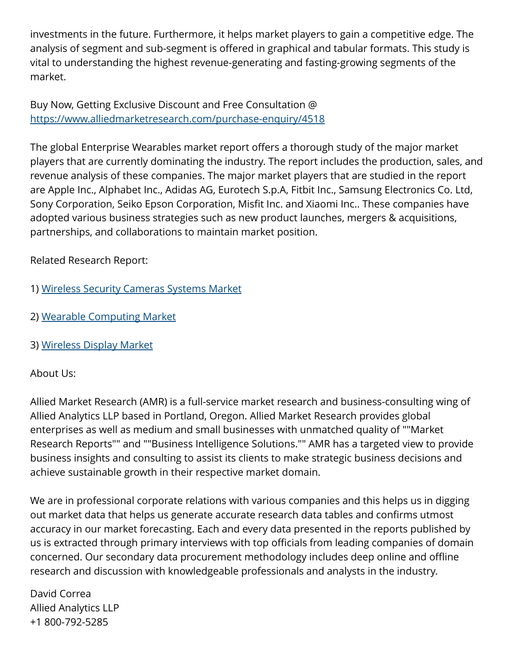investments in the future. Furthermore, it helps market players to gain a competitive edge. The analysis of segment and sub-segment is offered in graphical and tabular formats. This study is vital to understanding the highest revenue-generating and fasting-growing segments of the market.

Buy Now, Getting Exclusive Discount and Free Consultation @ <https://www.alliedmarketresearch.com/purchase-enquiry/4518>

The global Enterprise Wearables market report offers a thorough study of the major market players that are currently dominating the industry. The report includes the production, sales, and revenue analysis of these companies. The major market players that are studied in the report are Apple Inc., Alphabet Inc., Adidas AG, Eurotech S.p.A, Fitbit Inc., Samsung Electronics Co. Ltd, Sony Corporation, Seiko Epson Corporation, Misfit Inc. and Xiaomi Inc.. These companies have adopted various business strategies such as new product launches, mergers & acquisitions, partnerships, and collaborations to maintain market position.

Related Research Report:

- 1) [Wireless Security Cameras Systems Market](https://www.alliedmarketresearch.com/wireless-security-cameras-systems-market-A14252)
- 2) [Wearable Computing Market](https://www.alliedmarketresearch.com/wearable-computing-market-A13693)
- 3) [Wireless Display Market](https://www.alliedmarketresearch.com/wireless-display-market-A14245)

## About Us:

Allied Market Research (AMR) is a full-service market research and business-consulting wing of Allied Analytics LLP based in Portland, Oregon. Allied Market Research provides global enterprises as well as medium and small businesses with unmatched quality of ""Market Research Reports"" and ""Business Intelligence Solutions."" AMR has a targeted view to provide business insights and consulting to assist its clients to make strategic business decisions and achieve sustainable growth in their respective market domain.

We are in professional corporate relations with various companies and this helps us in digging out market data that helps us generate accurate research data tables and confirms utmost accuracy in our market forecasting. Each and every data presented in the reports published by us is extracted through primary interviews with top officials from leading companies of domain concerned. Our secondary data procurement methodology includes deep online and offline research and discussion with knowledgeable professionals and analysts in the industry.

David Correa Allied Analytics LLP +1 800-792-5285